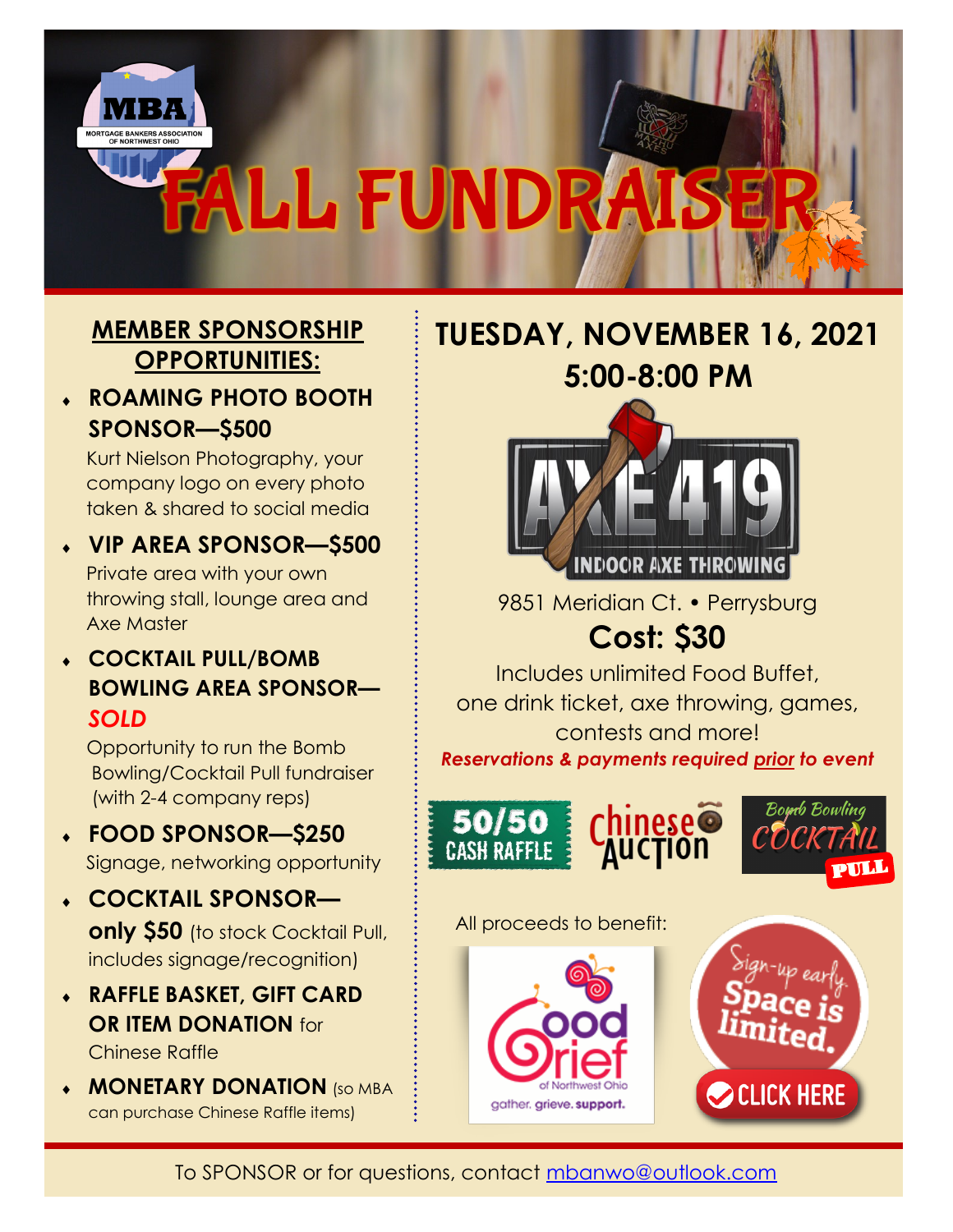

## **MEMBER SPONSORSHIP OPPORTUNITIES:**

 **ROAMING PHOTO BOOTH SPONSOR—\$500**

Kurt Nielson Photography, your company logo on every photo taken & shared to social media

- **VIP AREA SPONSOR—\$500** Private area with your own throwing stall, lounge area and Axe Master
- **COCKTAIL PULL/BOMB BOWLING AREA SPONSOR—** *SOLD*

Opportunity to run the Bomb Bowling/Cocktail Pull fundraiser (with 2-4 company reps)

- **FOOD SPONSOR—\$250** Signage, networking opportunity
- **COCKTAIL SPONSOR only \$50** (to stock Cocktail Pull, includes signage/recognition)
- **RAFFLE BASKET, GIFT CARD OR ITEM DONATION** for Chinese Raffle
- **MONETARY DONATION** (SO MBA can purchase Chinese Raffle items)

**TUESDAY, NOVEMBER 16, 2021 5:00-8:00 PM**



9851 Meridian Ct. • Perrysburg

## **Cost: \$30**

Includes unlimited Food Buffet, one drink ticket, axe throwing, games, contests and more! *Reservations & payments required prior to event*

Bomb Bowling



All proceeds to benefit: